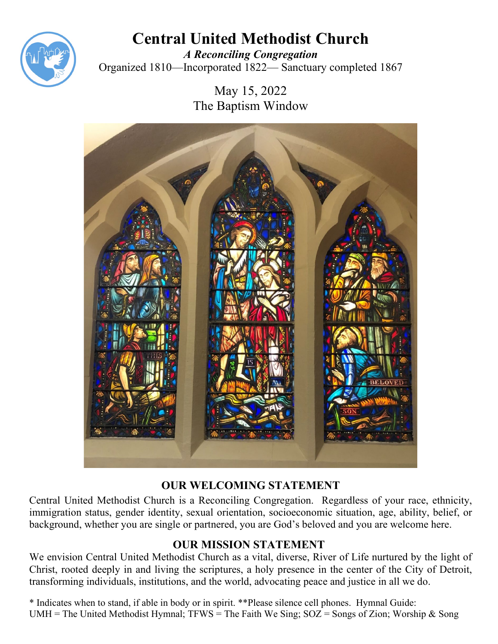

# **Central United Methodist Church**

*A Reconciling Congregation* Organized 1810—Incorporated 1822— Sanctuary completed 1867

> May 15, 2022 The Baptism Window



### **OUR WELCOMING STATEMENT**

Central United Methodist Church is a Reconciling Congregation. Regardless of your race, ethnicity, immigration status, gender identity, sexual orientation, socioeconomic situation, age, ability, belief, or background, whether you are single or partnered, you are God's beloved and you are welcome here.

### **OUR MISSION STATEMENT**

We envision Central United Methodist Church as a vital, diverse, River of Life nurtured by the light of Christ, rooted deeply in and living the scriptures, a holy presence in the center of the City of Detroit, transforming individuals, institutions, and the world, advocating peace and justice in all we do.

\* Indicates when to stand, if able in body or in spirit. \*\*Please silence cell phones. Hymnal Guide: UMH = The United Methodist Hymnal; TFWS = The Faith We Sing;  $SOZ =$  Songs of Zion; Worship & Song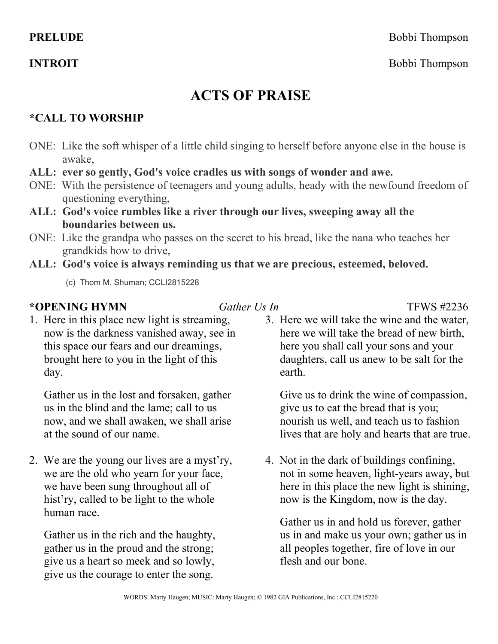## **ACTS OF PRAISE**

### **\*CALL TO WORSHIP**

- ONE: Like the soft whisper of a little child singing to herself before anyone else in the house is awake,
- **ALL: ever so gently, God's voice cradles us with songs of wonder and awe.**
- ONE: With the persistence of teenagers and young adults, heady with the newfound freedom of questioning everything,
- **ALL: God's voice rumbles like a river through our lives, sweeping away all the boundaries between us.**
- ONE: Like the grandpa who passes on the secret to his bread, like the nana who teaches her grandkids how to drive,
- **ALL: God's voice is always reminding us that we are precious, esteemed, beloved.**
	- (c) Thom M. Shuman; CCLI2815228

### **\*OPENING HYMN** *Gather Us In* TFWS #2236

1. Here in this place new light is streaming, now is the darkness vanished away, see in this space our fears and our dreamings, brought here to you in the light of this day.

Gather us in the lost and forsaken, gather us in the blind and the lame; call to us now, and we shall awaken, we shall arise at the sound of our name.

2. We are the young our lives are a myst'ry, we are the old who yearn for your face, we have been sung throughout all of hist'ry, called to be light to the whole human race.

Gather us in the rich and the haughty, gather us in the proud and the strong; give us a heart so meek and so lowly, give us the courage to enter the song.

3. Here we will take the wine and the water, here we will take the bread of new birth, here you shall call your sons and your daughters, call us anew to be salt for the earth.

Give us to drink the wine of compassion, give us to eat the bread that is you; nourish us well, and teach us to fashion lives that are holy and hearts that are true.

4. Not in the dark of buildings confining, not in some heaven, light-years away, but here in this place the new light is shining, now is the Kingdom, now is the day.

Gather us in and hold us forever, gather us in and make us your own; gather us in all peoples together, fire of love in our flesh and our bone.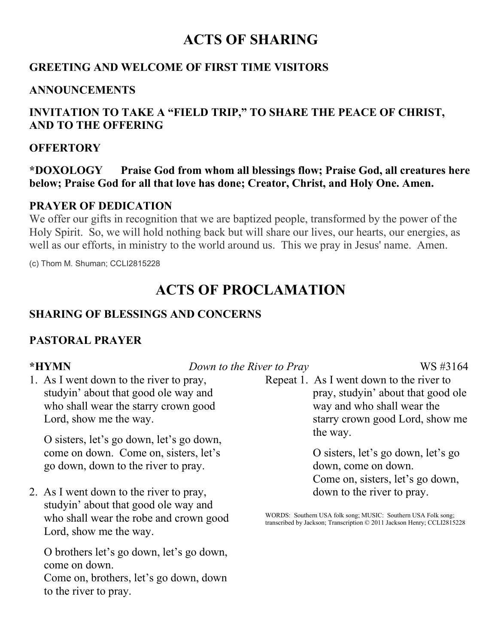## **ACTS OF SHARING**

### **GREETING AND WELCOME OF FIRST TIME VISITORS**

### **ANNOUNCEMENTS**

### **INVITATION TO TAKE A "FIELD TRIP," TO SHARE THE PEACE OF CHRIST, AND TO THE OFFERING**

#### **OFFERTORY**

### **\*DOXOLOGY Praise God from whom all blessings flow; Praise God, all creatures here below; Praise God for all that love has done; Creator, Christ, and Holy One. Amen.**

### **PRAYER OF DEDICATION**

We offer our gifts in recognition that we are baptized people, transformed by the power of the Holy Spirit. So, we will hold nothing back but will share our lives, our hearts, our energies, as well as our efforts, in ministry to the world around us. This we pray in Jesus' name. Amen.

(c) Thom M. Shuman; CCLI2815228

## **ACTS OF PROCLAMATION**

### **SHARING OF BLESSINGS AND CONCERNS**

### **PASTORAL PRAYER**

**\*HYMN** *Down to the River to Pray* WS #3164

1. As I went down to the river to pray, studyin' about that good ole way and who shall wear the starry crown good Lord, show me the way.

O sisters, let's go down, let's go down, come on down. Come on, sisters, let's go down, down to the river to pray.

2. As I went down to the river to pray, studyin' about that good ole way and who shall wear the robe and crown good Lord, show me the way.

O brothers let's go down, let's go down, come on down. Come on, brothers, let's go down, down to the river to pray.

Repeat 1. As I went down to the river to pray, studyin' about that good ole way and who shall wear the starry crown good Lord, show me the way.

> O sisters, let's go down, let's go down, come on down. Come on, sisters, let's go down, down to the river to pray.

WORDS: Southern USA folk song; MUSIC: Southern USA Folk song; transcribed by Jackson; Transcription © 2011 Jackson Henry; CCLI2815228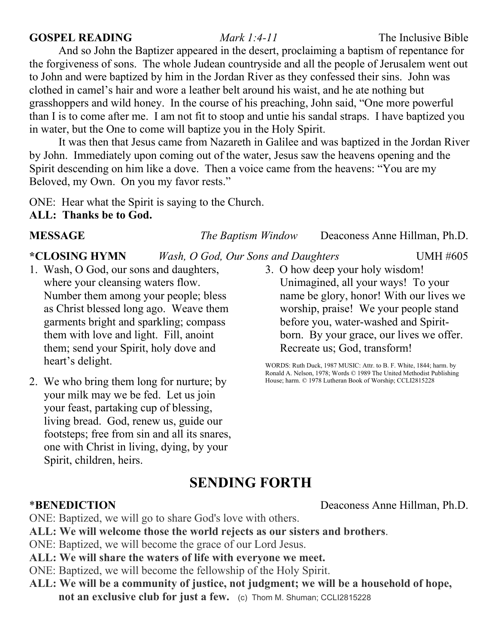#### **GOSPEL READING** *Mark 1:4-11* The Inclusive Bible

And so John the Baptizer appeared in the desert, proclaiming a baptism of repentance for the forgiveness of sons. The whole Judean countryside and all the people of Jerusalem went out to John and were baptized by him in the Jordan River as they confessed their sins. John was clothed in camel's hair and wore a leather belt around his waist, and he ate nothing but grasshoppers and wild honey. In the course of his preaching, John said, "One more powerful than I is to come after me. I am not fit to stoop and untie his sandal straps. I have baptized you in water, but the One to come will baptize you in the Holy Spirit.

It was then that Jesus came from Nazareth in Galilee and was baptized in the Jordan River by John. Immediately upon coming out of the water, Jesus saw the heavens opening and the Spirit descending on him like a dove. Then a voice came from the heavens: "You are my Beloved, my Own. On you my favor rests."

ONE: Hear what the Spirit is saying to the Church. **ALL: Thanks be to God.**

**MESSAGE** *The Baptism Window* Deaconess Anne Hillman, Ph.D.

- 1. Wash, O God, our sons and daughters, where your cleansing waters flow. Number them among your people; bless as Christ blessed long ago. Weave them garments bright and sparkling; compass them with love and light. Fill, anoint them; send your Spirit, holy dove and heart's delight.
- 2. We who bring them long for nurture; by your milk may we be fed. Let us join your feast, partaking cup of blessing, living bread. God, renew us, guide our footsteps; free from sin and all its snares, one with Christ in living, dying, by your Spirit, children, heirs.

### **\*CLOSING HYMN** *Wash, O God, Our Sons and Daughters* UMH #605

3. O how deep your holy wisdom! Unimagined, all your ways! To your name be glory, honor! With our lives we worship, praise! We your people stand before you, water-washed and Spiritborn. By your grace, our lives we offer. Recreate us; God, transform!

WORDS: Ruth Duck, 1987 MUSIC: Attr. to B. F. White, 1844; harm. by Ronald A. Nelson, 1978; Words © 1989 The United Methodist Publishing House; harm. © 1978 Lutheran Book of Worship; CCLI2815228

## **SENDING FORTH**

\***BENEDICTION** Deaconess Anne Hillman, Ph.D.

ONE: Baptized, we will go to share God's love with others.

**ALL: We will welcome those the world rejects as our sisters and brothers**.

ONE: Baptized, we will become the grace of our Lord Jesus.

**ALL: We will share the waters of life with everyone we meet.**

ONE: Baptized, we will become the fellowship of the Holy Spirit.

**ALL: We will be a community of justice, not judgment; we will be a household of hope, not an exclusive club for just a few.** (c) Thom M. Shuman; CCLI2815228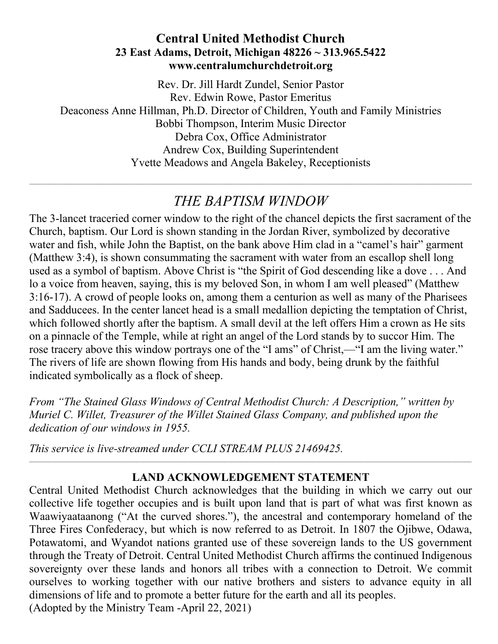#### **Central United Methodist Church 23 East Adams, Detroit, Michigan 48226 ~ 313.965.5422 www.centralumchurchdetroit.org**

Rev. Dr. Jill Hardt Zundel, Senior Pastor Rev. Edwin Rowe, Pastor Emeritus Deaconess Anne Hillman, Ph.D. Director of Children, Youth and Family Ministries Bobbi Thompson, Interim Music Director Debra Cox, Office Administrator Andrew Cox, Building Superintendent Yvette Meadows and Angela Bakeley, Receptionists

## *THE BAPTISM WINDOW*

 $\mathcal{L} = \{ \mathcal{L} = \{ \mathcal{L} = \{ \mathcal{L} = \{ \mathcal{L} = \{ \mathcal{L} = \{ \mathcal{L} = \{ \mathcal{L} = \{ \mathcal{L} = \{ \mathcal{L} = \{ \mathcal{L} = \{ \mathcal{L} = \{ \mathcal{L} = \{ \mathcal{L} = \{ \mathcal{L} = \{ \mathcal{L} = \{ \mathcal{L} = \{ \mathcal{L} = \{ \mathcal{L} = \{ \mathcal{L} = \{ \mathcal{L} = \{ \mathcal{L} = \{ \mathcal{L} = \{ \mathcal{L} = \{ \mathcal{$ 

The 3-lancet traceried corner window to the right of the chancel depicts the first sacrament of the Church, baptism. Our Lord is shown standing in the Jordan River, symbolized by decorative water and fish, while John the Baptist, on the bank above Him clad in a "camel's hair" garment (Matthew 3:4), is shown consummating the sacrament with water from an escallop shell long used as a symbol of baptism. Above Christ is "the Spirit of God descending like a dove . . . And lo a voice from heaven, saying, this is my beloved Son, in whom I am well pleased" (Matthew 3:16-17). A crowd of people looks on, among them a centurion as well as many of the Pharisees and Sadducees. In the center lancet head is a small medallion depicting the temptation of Christ, which followed shortly after the baptism. A small devil at the left offers Him a crown as He sits on a pinnacle of the Temple, while at right an angel of the Lord stands by to succor Him. The rose tracery above this window portrays one of the "I ams" of Christ,—"I am the living water." The rivers of life are shown flowing from His hands and body, being drunk by the faithful indicated symbolically as a flock of sheep.

*From "The Stained Glass Windows of Central Methodist Church: A Description," written by Muriel C. Willet, Treasurer of the Willet Stained Glass Company, and published upon the dedication of our windows in 1955.* 

*This service is live-streamed under CCLI STREAM PLUS 21469425.*

### **LAND ACKNOWLEDGEMENT STATEMENT**

Central United Methodist Church acknowledges that the building in which we carry out our collective life together occupies and is built upon land that is part of what was first known as Waawiyaataanong ("At the curved shores."), the ancestral and contemporary homeland of the Three Fires Confederacy, but which is now referred to as Detroit. In 1807 the Ojibwe, Odawa, Potawatomi, and Wyandot nations granted use of these sovereign lands to the US government through the Treaty of Detroit. Central United Methodist Church affirms the continued Indigenous sovereignty over these lands and honors all tribes with a connection to Detroit. We commit ourselves to working together with our native brothers and sisters to advance equity in all dimensions of life and to promote a better future for the earth and all its peoples. (Adopted by the Ministry Team -April 22, 2021)